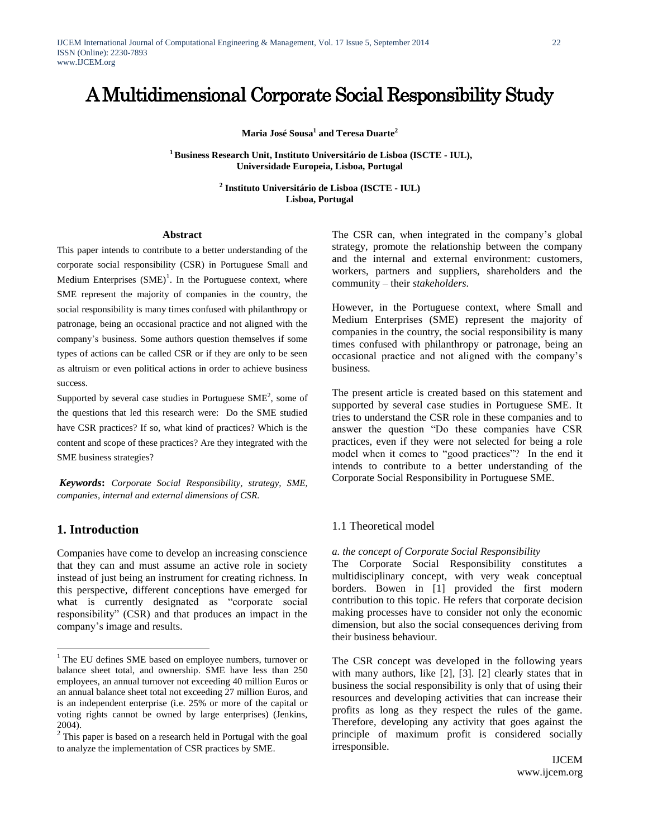# A Multidimensional Corporate Social Responsibility Study

**Maria José Sousa<sup>1</sup> and Teresa Duarte<sup>2</sup>**

**<sup>1</sup>Business Research Unit, Instituto Universitário de Lisboa (ISCTE - IUL), Universidade Europeia, Lisboa, Portugal**

> **2 Instituto Universitário de Lisboa (ISCTE - IUL) Lisboa, Portugal**

#### **Abstract**

This paper intends to contribute to a better understanding of the corporate social responsibility (CSR) in Portuguese Small and Medium Enterprises  $(SME)^1$ . In the Portuguese context, where SME represent the majority of companies in the country, the social responsibility is many times confused with philanthropy or patronage, being an occasional practice and not aligned with the company"s business. Some authors question themselves if some types of actions can be called CSR or if they are only to be seen as altruism or even political actions in order to achieve business success.

Supported by several case studies in Portuguese  $SME<sup>2</sup>$ , some of the questions that led this research were: Do the SME studied have CSR practices? If so, what kind of practices? Which is the content and scope of these practices? Are they integrated with the SME business strategies?

*Keywords***:** *Corporate Social Responsibility, strategy, SME, companies, internal and external dimensions of CSR.*

# **1. Introduction**

l

Companies have come to develop an increasing conscience that they can and must assume an active role in society instead of just being an instrument for creating richness. In this perspective, different conceptions have emerged for what is currently designated as "corporate social responsibility" (CSR) and that produces an impact in the company"s image and results.

The CSR can, when integrated in the company's global strategy, promote the relationship between the company and the internal and external environment: customers, workers, partners and suppliers, shareholders and the community – their *stakeholders*.

However, in the Portuguese context, where Small and Medium Enterprises (SME) represent the majority of companies in the country, the social responsibility is many times confused with philanthropy or patronage, being an occasional practice and not aligned with the company"s business.

The present article is created based on this statement and supported by several case studies in Portuguese SME. It tries to understand the CSR role in these companies and to answer the question "Do these companies have CSR practices, even if they were not selected for being a role model when it comes to "good practices"? In the end it intends to contribute to a better understanding of the Corporate Social Responsibility in Portuguese SME.

# 1.1 Theoretical model

#### *a. the concept of Corporate Social Responsibility*

The Corporate Social Responsibility constitutes a multidisciplinary concept, with very weak conceptual borders. Bowen in [1] provided the first modern contribution to this topic. He refers that corporate decision making processes have to consider not only the economic dimension, but also the social consequences deriving from their business behaviour.

The CSR concept was developed in the following years with many authors, like [2], [3]. [2] clearly states that in business the social responsibility is only that of using their resources and developing activities that can increase their profits as long as they respect the rules of the game. Therefore, developing any activity that goes against the principle of maximum profit is considered socially irresponsible.

<sup>&</sup>lt;sup>1</sup> The EU defines SME based on employee numbers, turnover or balance sheet total, and ownership. SME have less than 250 employees, an annual turnover not exceeding 40 million Euros or an annual balance sheet total not exceeding 27 million Euros, and is an independent enterprise (i.e. 25% or more of the capital or voting rights cannot be owned by large enterprises) (Jenkins, 2004).

 $2$  This paper is based on a research held in Portugal with the goal to analyze the implementation of CSR practices by SME.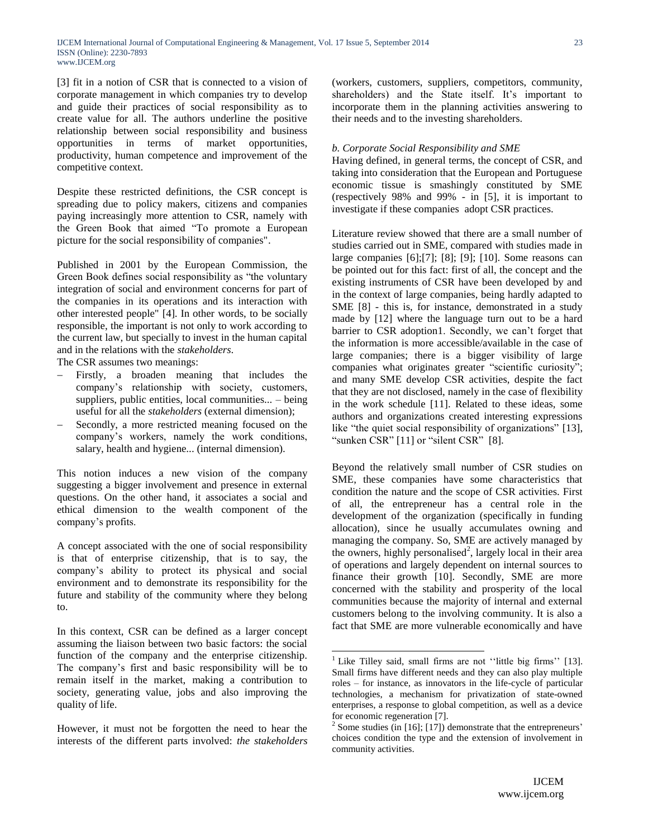[3] fit in a notion of CSR that is connected to a vision of corporate management in which companies try to develop and guide their practices of social responsibility as to create value for all. The authors underline the positive relationship between social responsibility and business opportunities in terms of market opportunities, productivity, human competence and improvement of the competitive context.

Despite these restricted definitions, the CSR concept is spreading due to policy makers, citizens and companies paying increasingly more attention to CSR, namely with the Green Book that aimed "To promote a European picture for the social responsibility of companies".

Published in 2001 by the European Commission, the Green Book defines social responsibility as "the voluntary integration of social and environment concerns for part of the companies in its operations and its interaction with other interested people" [4]. In other words, to be socially responsible, the important is not only to work according to the current law, but specially to invest in the human capital and in the relations with the *stakeholders*.

The CSR assumes two meanings:

- Firstly, a broaden meaning that includes the company"s relationship with society, customers, suppliers, public entities, local communities... – being useful for all the *stakeholders* (external dimension);
- Secondly, a more restricted meaning focused on the company"s workers, namely the work conditions, salary, health and hygiene... (internal dimension).

This notion induces a new vision of the company suggesting a bigger involvement and presence in external questions. On the other hand, it associates a social and ethical dimension to the wealth component of the company"s profits.

A concept associated with the one of social responsibility is that of enterprise citizenship, that is to say, the company"s ability to protect its physical and social environment and to demonstrate its responsibility for the future and stability of the community where they belong to.

In this context, CSR can be defined as a larger concept assuming the liaison between two basic factors: the social function of the company and the enterprise citizenship. The company's first and basic responsibility will be to remain itself in the market, making a contribution to society, generating value, jobs and also improving the quality of life.

However, it must not be forgotten the need to hear the interests of the different parts involved: *the stakeholders* (workers, customers, suppliers, competitors, community, shareholders) and the State itself. It's important to incorporate them in the planning activities answering to their needs and to the investing shareholders.

## *b. Corporate Social Responsibility and SME*

Having defined, in general terms, the concept of CSR, and taking into consideration that the European and Portuguese economic tissue is smashingly constituted by SME (respectively 98% and 99% - in [5], it is important to investigate if these companies adopt CSR practices.

Literature review showed that there are a small number of studies carried out in SME, compared with studies made in large companies [6];[7]; [8]; [9]; [10]. Some reasons can be pointed out for this fact: first of all, the concept and the existing instruments of CSR have been developed by and in the context of large companies, being hardly adapted to SME [8] - this is, for instance, demonstrated in a study made by [12] where the language turn out to be a hard barrier to CSR adoption1. Secondly, we can't forget that the information is more accessible/available in the case of large companies; there is a bigger visibility of large companies what originates greater "scientific curiosity"; and many SME develop CSR activities, despite the fact that they are not disclosed, namely in the case of flexibility in the work schedule [11]. Related to these ideas, some authors and organizations created interesting expressions like "the quiet social responsibility of organizations" [13], "sunken CSR" [11] or "silent CSR" [8].

Beyond the relatively small number of CSR studies on SME, these companies have some characteristics that condition the nature and the scope of CSR activities. First of all, the entrepreneur has a central role in the development of the organization (specifically in funding allocation), since he usually accumulates owning and managing the company. So, SME are actively managed by the owners, highly personalised<sup>2</sup>, largely local in their area of operations and largely dependent on internal sources to finance their growth [10]. Secondly, SME are more concerned with the stability and prosperity of the local communities because the majority of internal and external customers belong to the involving community. It is also a fact that SME are more vulnerable economically and have

l

23

<sup>&</sup>lt;sup>1</sup> Like Tilley said, small firms are not "little big firms" [13]. Small firms have different needs and they can also play multiple roles – for instance, as innovators in the life-cycle of particular technologies, a mechanism for privatization of state-owned enterprises, a response to global competition, as well as a device for economic regeneration [7].

<sup>&</sup>lt;sup>2</sup> Some studies (in [16]; [17]) demonstrate that the entrepreneurs' choices condition the type and the extension of involvement in community activities.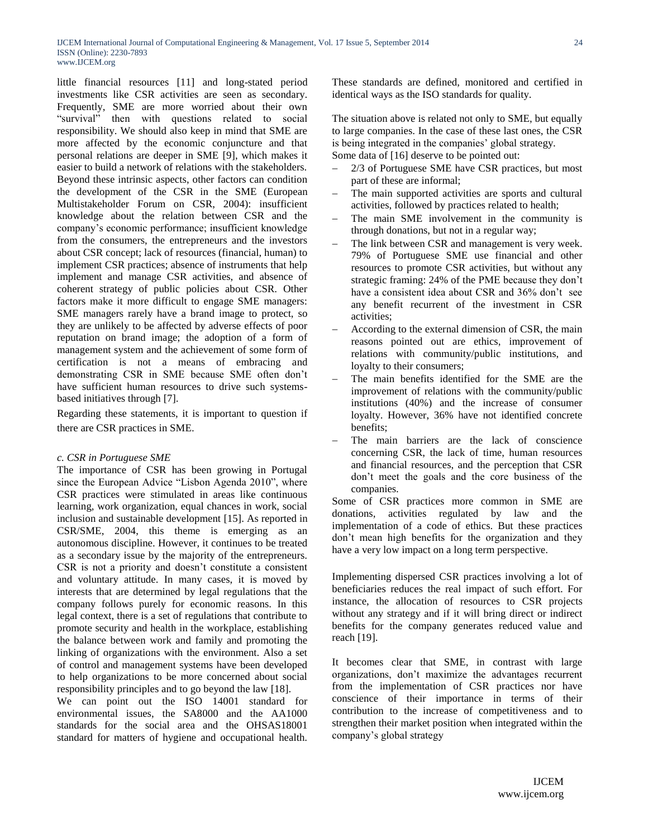little financial resources [11] and long-stated period investments like CSR activities are seen as secondary. Frequently, SME are more worried about their own "survival" then with questions related to social responsibility. We should also keep in mind that SME are more affected by the economic conjuncture and that personal relations are deeper in SME [9], which makes it easier to build a network of relations with the stakeholders. Beyond these intrinsic aspects, other factors can condition the development of the CSR in the SME (European Multistakeholder Forum on CSR, 2004): insufficient knowledge about the relation between CSR and the company"s economic performance; insufficient knowledge from the consumers, the entrepreneurs and the investors about CSR concept; lack of resources (financial, human) to implement CSR practices; absence of instruments that help implement and manage CSR activities, and absence of coherent strategy of public policies about CSR. Other factors make it more difficult to engage SME managers: SME managers rarely have a brand image to protect, so they are unlikely to be affected by adverse effects of poor reputation on brand image; the adoption of a form of management system and the achievement of some form of certification is not a means of embracing and demonstrating CSR in SME because SME often don"t have sufficient human resources to drive such systemsbased initiatives through [7].

Regarding these statements, it is important to question if there are CSR practices in SME.

# *c. CSR in Portuguese SME*

The importance of CSR has been growing in Portugal since the European Advice "Lisbon Agenda 2010", where CSR practices were stimulated in areas like continuous learning, work organization, equal chances in work, social inclusion and sustainable development [15]. As reported in CSR/SME, 2004, this theme is emerging as an autonomous discipline. However, it continues to be treated as a secondary issue by the majority of the entrepreneurs. CSR is not a priority and doesn"t constitute a consistent and voluntary attitude. In many cases, it is moved by interests that are determined by legal regulations that the company follows purely for economic reasons. In this legal context, there is a set of regulations that contribute to promote security and health in the workplace, establishing the balance between work and family and promoting the linking of organizations with the environment. Also a set of control and management systems have been developed to help organizations to be more concerned about social responsibility principles and to go beyond the law [18].

We can point out the ISO 14001 standard for environmental issues, the SA8000 and the AA1000 standards for the social area and the OHSAS18001 standard for matters of hygiene and occupational health.

These standards are defined, monitored and certified in identical ways as the ISO standards for quality.

The situation above is related not only to SME, but equally to large companies. In the case of these last ones, the CSR is being integrated in the companies' global strategy. Some data of [16] deserve to be pointed out:

- 2/3 of Portuguese SME have CSR practices, but most part of these are informal;
- The main supported activities are sports and cultural activities, followed by practices related to health;
- The main SME involvement in the community is through donations, but not in a regular way;
- The link between CSR and management is very week. 79% of Portuguese SME use financial and other resources to promote CSR activities, but without any strategic framing: 24% of the PME because they don"t have a consistent idea about CSR and 36% don't see any benefit recurrent of the investment in CSR activities;
- According to the external dimension of CSR, the main reasons pointed out are ethics, improvement of relations with community/public institutions, and loyalty to their consumers;
- The main benefits identified for the SME are the improvement of relations with the community/public institutions (40%) and the increase of consumer loyalty. However, 36% have not identified concrete benefits;
- The main barriers are the lack of conscience concerning CSR, the lack of time, human resources and financial resources, and the perception that CSR don"t meet the goals and the core business of the companies.

Some of CSR practices more common in SME are donations, activities regulated by law and the implementation of a code of ethics. But these practices don"t mean high benefits for the organization and they have a very low impact on a long term perspective.

Implementing dispersed CSR practices involving a lot of beneficiaries reduces the real impact of such effort. For instance, the allocation of resources to CSR projects without any strategy and if it will bring direct or indirect benefits for the company generates reduced value and reach [19].

It becomes clear that SME, in contrast with large organizations, don"t maximize the advantages recurrent from the implementation of CSR practices nor have conscience of their importance in terms of their contribution to the increase of competitiveness and to strengthen their market position when integrated within the company"s global strategy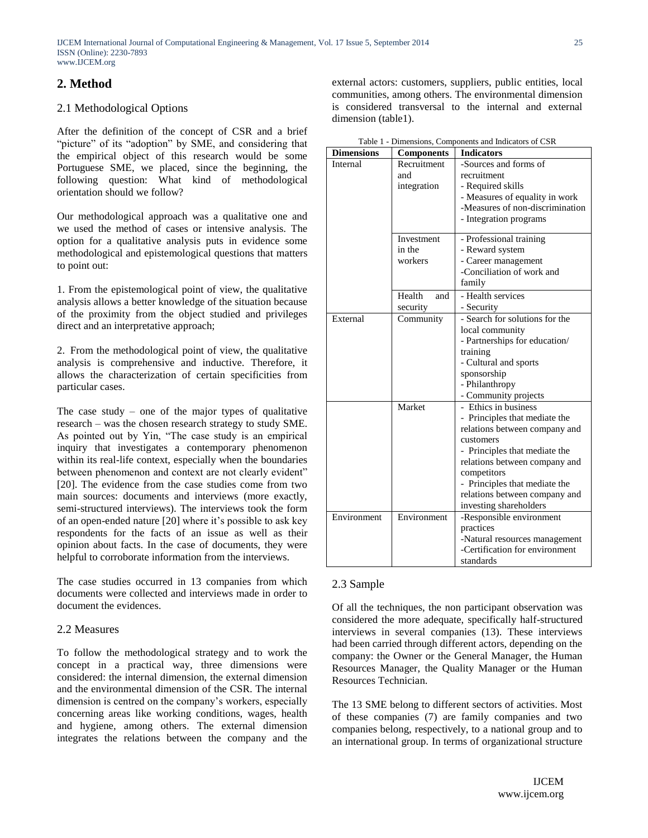# **2. Method**

# 2.1 Methodological Options

After the definition of the concept of CSR and a brief "picture" of its "adoption" by SME, and considering that the empirical object of this research would be some Portuguese SME, we placed, since the beginning, the following question: What kind of methodological orientation should we follow?

Our methodological approach was a qualitative one and we used the method of cases or intensive analysis. The option for a qualitative analysis puts in evidence some methodological and epistemological questions that matters to point out:

1. From the epistemological point of view, the qualitative analysis allows a better knowledge of the situation because of the proximity from the object studied and privileges direct and an interpretative approach;

2. From the methodological point of view, the qualitative analysis is comprehensive and inductive. Therefore, it allows the characterization of certain specificities from particular cases.

The case study – one of the major types of qualitative research – was the chosen research strategy to study SME. As pointed out by Yin, "The case study is an empirical inquiry that investigates a contemporary phenomenon within its real-life context, especially when the boundaries between phenomenon and context are not clearly evident" [20]. The evidence from the case studies come from two main sources: documents and interviews (more exactly, semi-structured interviews). The interviews took the form of an open-ended nature [20] where it"s possible to ask key respondents for the facts of an issue as well as their opinion about facts. In the case of documents, they were helpful to corroborate information from the interviews.

The case studies occurred in 13 companies from which documents were collected and interviews made in order to document the evidences.

# 2.2 Measures

To follow the methodological strategy and to work the concept in a practical way, three dimensions were considered: the internal dimension, the external dimension and the environmental dimension of the CSR. The internal dimension is centred on the company's workers, especially concerning areas like working conditions, wages, health and hygiene, among others. The external dimension integrates the relations between the company and the external actors: customers, suppliers, public entities, local communities, among others. The environmental dimension is considered transversal to the internal and external dimension (table1).

| <b>Dimensions</b> | <b>Components</b>                | <b>Indicators</b>               |
|-------------------|----------------------------------|---------------------------------|
| Internal          | Recruitment                      | -Sources and forms of           |
|                   | and                              | recruitment                     |
|                   | integration                      | - Required skills               |
|                   |                                  | - Measures of equality in work  |
|                   |                                  | -Measures of non-discrimination |
|                   |                                  | - Integration programs          |
|                   | Investment                       | - Professional training         |
|                   | in the                           | - Reward system                 |
|                   | workers                          | - Career management             |
|                   |                                  | -Conciliation of work and       |
|                   |                                  | family                          |
|                   | Health<br>and                    | - Health services               |
|                   | security                         | - Security                      |
| External          | $\overline{\mathrm{Comman}}$ ity | - Search for solutions for the  |
|                   |                                  | local community                 |
|                   |                                  | - Partnerships for education/   |
|                   |                                  | training                        |
|                   |                                  | - Cultural and sports           |
|                   |                                  | sponsorship                     |
|                   |                                  | - Philanthropy                  |
|                   |                                  | - Community projects            |
|                   | Market                           | - Ethics in business            |
|                   |                                  | - Principles that mediate the   |
|                   |                                  | relations between company and   |
|                   |                                  | customers                       |
|                   |                                  | - Principles that mediate the   |
|                   |                                  | relations between company and   |
|                   |                                  | competitors                     |
|                   |                                  | - Principles that mediate the   |
|                   |                                  | relations between company and   |
|                   |                                  | investing shareholders          |
| Environment       | Environment                      | -Responsible environment        |
|                   |                                  | practices                       |
|                   |                                  | -Natural resources management   |
|                   |                                  | -Certification for environment  |
|                   |                                  | standards                       |

Table 1 - Dimensions, Components and Indicators of CSR

# 2.3 Sample

Of all the techniques, the non participant observation was considered the more adequate, specifically half-structured interviews in several companies (13). These interviews had been carried through different actors, depending on the company: the Owner or the General Manager, the Human Resources Manager, the Quality Manager or the Human Resources Technician.

The 13 SME belong to different sectors of activities. Most of these companies (7) are family companies and two companies belong, respectively, to a national group and to an international group. In terms of organizational structure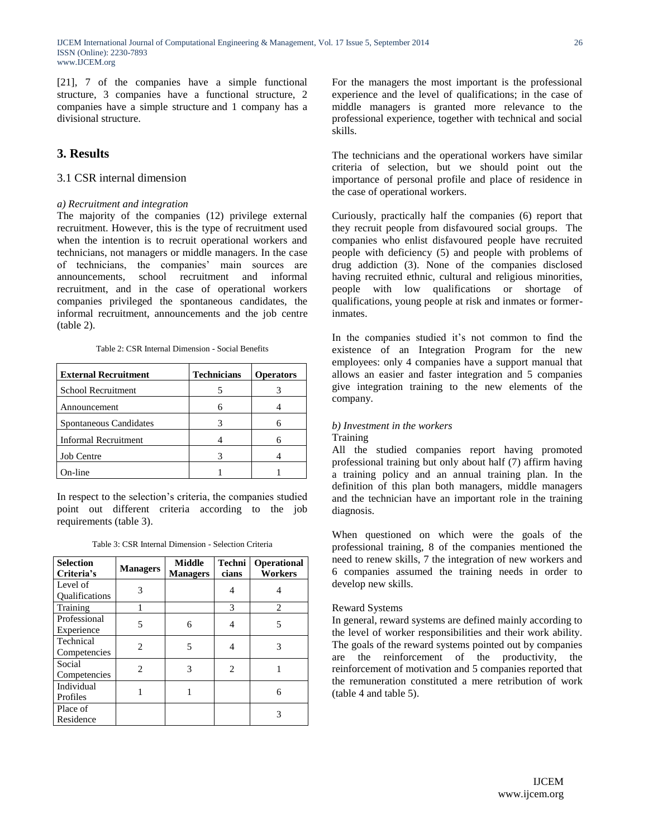[21], 7 of the companies have a simple functional structure, 3 companies have a functional structure, 2 companies have a simple structure and 1 company has a divisional structure.

# **3. Results**

# 3.1 CSR internal dimension

## *a) Recruitment and integration*

The majority of the companies (12) privilege external recruitment. However, this is the type of recruitment used when the intention is to recruit operational workers and technicians, not managers or middle managers. In the case of technicians, the companies" main sources are announcements, school recruitment and informal recruitment, and in the case of operational workers companies privileged the spontaneous candidates, the informal recruitment, announcements and the job centre (table 2).

Table 2: CSR Internal Dimension - Social Benefits

| <b>External Recruitment</b> | <b>Technicians</b> | <b>Operators</b> |
|-----------------------------|--------------------|------------------|
| School Recruitment          |                    |                  |
| Announcement                |                    |                  |
| Spontaneous Candidates      |                    |                  |
| <b>Informal Recruitment</b> |                    |                  |
| <b>Job Centre</b>           |                    |                  |
| m-line                      |                    |                  |

In respect to the selection"s criteria, the companies studied point out different criteria according to the job requirements (table 3).

|  | Table 3: CSR Internal Dimension - Selection Criteria |  |  |
|--|------------------------------------------------------|--|--|
|--|------------------------------------------------------|--|--|

| <b>Selection</b><br>Criteria's    | <b>Managers</b> | <b>Middle</b><br><b>Managers</b> | Techni<br>cians | <b>Operational</b><br>Workers |
|-----------------------------------|-----------------|----------------------------------|-----------------|-------------------------------|
| Level of<br><b>Oualifications</b> | 3               |                                  | 4               |                               |
| Training                          |                 |                                  | 3               | 2                             |
| Professional<br>Experience        | 5               | 6                                | 4               | 5                             |
| Technical<br>Competencies         | $\mathfrak{D}$  | 5                                | 4               | 3                             |
| Social<br>Competencies            | $\mathfrak{D}$  | 3                                | $\overline{c}$  |                               |
| Individual<br>Profiles            |                 |                                  |                 | 6                             |
| Place of<br>Residence             |                 |                                  |                 | 3                             |

For the managers the most important is the professional experience and the level of qualifications; in the case of middle managers is granted more relevance to the professional experience, together with technical and social skills.

The technicians and the operational workers have similar criteria of selection, but we should point out the importance of personal profile and place of residence in the case of operational workers.

Curiously, practically half the companies (6) report that they recruit people from disfavoured social groups. The companies who enlist disfavoured people have recruited people with deficiency (5) and people with problems of drug addiction (3). None of the companies disclosed having recruited ethnic, cultural and religious minorities, people with low qualifications or shortage of qualifications, young people at risk and inmates or formerinmates.

In the companies studied it"s not common to find the existence of an Integration Program for the new employees: only 4 companies have a support manual that allows an easier and faster integration and 5 companies give integration training to the new elements of the company.

# *b) Investment in the workers*

**Training** 

All the studied companies report having promoted professional training but only about half (7) affirm having a training policy and an annual training plan. In the definition of this plan both managers, middle managers and the technician have an important role in the training diagnosis.

When questioned on which were the goals of the professional training, 8 of the companies mentioned the need to renew skills, 7 the integration of new workers and 6 companies assumed the training needs in order to develop new skills.

#### Reward Systems

In general, reward systems are defined mainly according to the level of worker responsibilities and their work ability. The goals of the reward systems pointed out by companies are the reinforcement of the productivity, the reinforcement of motivation and 5 companies reported that the remuneration constituted a mere retribution of work (table 4 and table 5).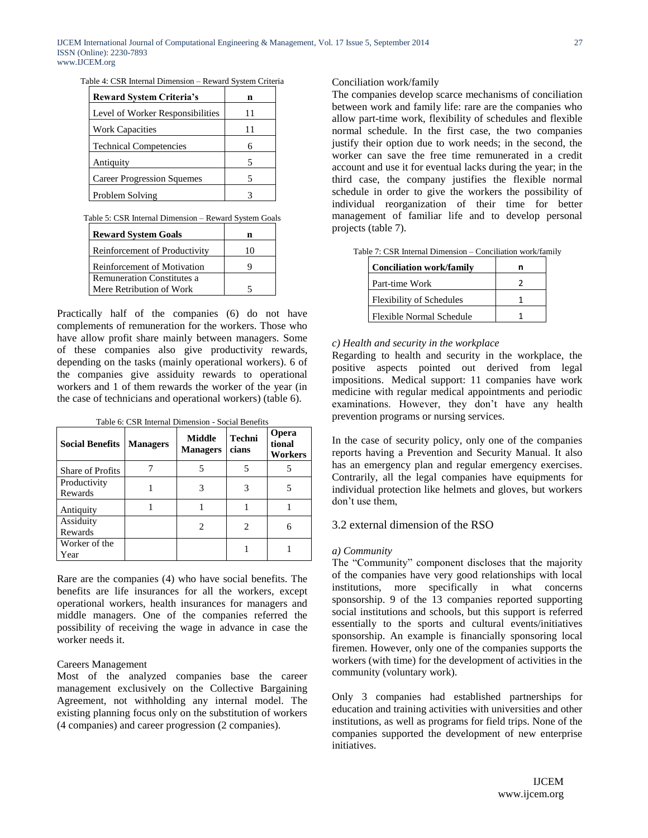|  |  | Table 4: CSR Internal Dimension - Reward System Criteria |  |  |  |  |
|--|--|----------------------------------------------------------|--|--|--|--|
|  |  |                                                          |  |  |  |  |

| <b>Reward System Criteria's</b>   | n  |
|-----------------------------------|----|
| Level of Worker Responsibilities  | 11 |
| <b>Work Capacities</b>            |    |
| <b>Technical Competencies</b>     | 6  |
| Antiquity                         | 5  |
| <b>Career Progression Squemes</b> | 5  |
| Problem Solving                   |    |

#### Table 5: CSR Internal Dimension – Reward System Goals

| <b>Reward System Goals</b>         |    |
|------------------------------------|----|
| Reinforcement of Productivity      | 10 |
| <b>Reinforcement of Motivation</b> |    |
| <b>Remuneration Constitutes a</b>  |    |
| Mere Retribution of Work           |    |

Practically half of the companies (6) do not have complements of remuneration for the workers. Those who have allow profit share mainly between managers. Some of these companies also give productivity rewards, depending on the tasks (mainly operational workers). 6 of the companies give assiduity rewards to operational workers and 1 of them rewards the worker of the year (in the case of technicians and operational workers) (table 6).

| <b>Social Benefits</b>  | <b>Managers</b> | Middle<br><b>Managers</b> | Techni<br>cians | Opera<br>tional<br>Workers |
|-------------------------|-----------------|---------------------------|-----------------|----------------------------|
| <b>Share of Profits</b> |                 |                           |                 |                            |
| Productivity<br>Rewards |                 |                           |                 |                            |
| Antiquity               |                 |                           |                 |                            |
| Assiduity<br>Rewards    |                 |                           |                 | 6                          |
| Worker of the<br>Year   |                 |                           |                 |                            |

Table 6: CSR Internal Dimension - Social Benefits

Rare are the companies (4) who have social benefits. The benefits are life insurances for all the workers, except operational workers, health insurances for managers and middle managers. One of the companies referred the possibility of receiving the wage in advance in case the worker needs it.

## Careers Management

Most of the analyzed companies base the career management exclusively on the Collective Bargaining Agreement, not withholding any internal model. The existing planning focus only on the substitution of workers (4 companies) and career progression (2 companies).

## Conciliation work/family

The companies develop scarce mechanisms of conciliation between work and family life: rare are the companies who allow part-time work, flexibility of schedules and flexible normal schedule. In the first case, the two companies justify their option due to work needs; in the second, the worker can save the free time remunerated in a credit account and use it for eventual lacks during the year; in the third case, the company justifies the flexible normal schedule in order to give the workers the possibility of individual reorganization of their time for better management of familiar life and to develop personal projects (table 7).

| <b>Conciliation work/family</b> |  |
|---------------------------------|--|
| Part-time Work                  |  |
| <b>Flexibility of Schedules</b> |  |
| Flexible Normal Schedule        |  |

#### Table 7: CSR Internal Dimension – Conciliation work/family

## *c) Health and security in the workplace*

Regarding to health and security in the workplace, the positive aspects pointed out derived from legal impositions. Medical support: 11 companies have work medicine with regular medical appointments and periodic examinations. However, they don't have any health prevention programs or nursing services.

In the case of security policy, only one of the companies reports having a Prevention and Security Manual. It also has an emergency plan and regular emergency exercises. Contrarily, all the legal companies have equipments for individual protection like helmets and gloves, but workers don"t use them,

## 3.2 external dimension of the RSO

#### *a) Community*

The "Community" component discloses that the majority of the companies have very good relationships with local institutions, more specifically in what concerns sponsorship. 9 of the 13 companies reported supporting social institutions and schools, but this support is referred essentially to the sports and cultural events/initiatives sponsorship. An example is financially sponsoring local firemen. However, only one of the companies supports the workers (with time) for the development of activities in the community (voluntary work).

Only 3 companies had established partnerships for education and training activities with universities and other institutions, as well as programs for field trips. None of the companies supported the development of new enterprise initiatives.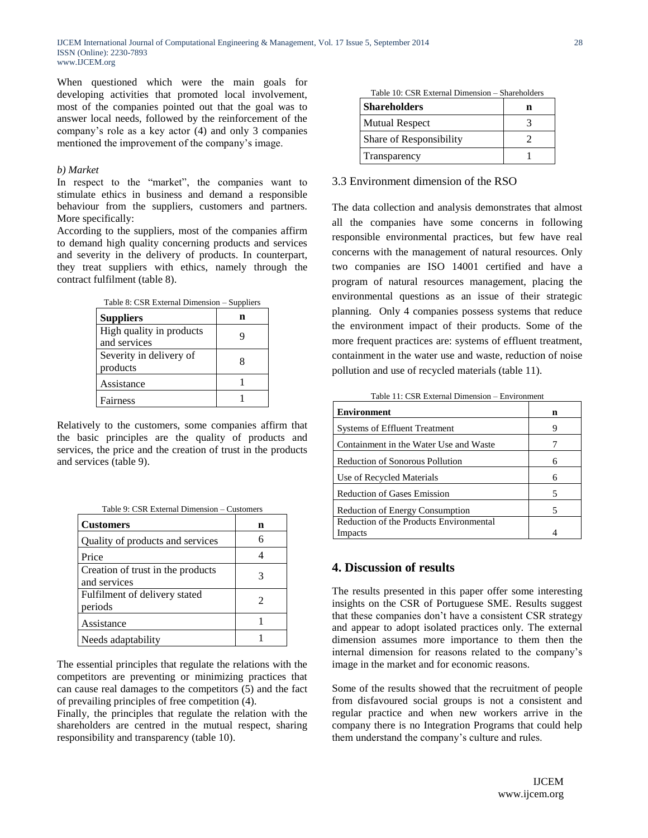IJCEM International Journal of Computational Engineering & Management, Vol. 17 Issue 5, September 2014 ISSN (Online): 2230-7893 www.IJCEM.org

When questioned which were the main goals for developing activities that promoted local involvement, most of the companies pointed out that the goal was to answer local needs, followed by the reinforcement of the company"s role as a key actor (4) and only 3 companies mentioned the improvement of the company"s image.

### *b) Market*

In respect to the "market", the companies want to stimulate ethics in business and demand a responsible behaviour from the suppliers, customers and partners. More specifically:

According to the suppliers, most of the companies affirm to demand high quality concerning products and services and severity in the delivery of products. In counterpart, they treat suppliers with ethics, namely through the contract fulfilment (table 8).

| Table 8: CSR External Dimension - Suppliers |  |  |  |  |
|---------------------------------------------|--|--|--|--|
| <b>Suppliers</b>                            |  |  |  |  |
| High quality in products<br>and services    |  |  |  |  |
| Severity in delivery of<br>products         |  |  |  |  |
| Assistance                                  |  |  |  |  |
| Fairness                                    |  |  |  |  |

Relatively to the customers, some companies affirm that the basic principles are the quality of products and services, the price and the creation of trust in the products and services (table 9).

| <b>Customers</b>                                  | n |
|---------------------------------------------------|---|
| Quality of products and services                  | 6 |
| Price                                             |   |
| Creation of trust in the products<br>and services | 3 |
| Fulfilment of delivery stated<br>periods          | 2 |
| Assistance                                        |   |
| Needs adaptability                                |   |

The essential principles that regulate the relations with the competitors are preventing or minimizing practices that can cause real damages to the competitors (5) and the fact of prevailing principles of free competition (4).

Finally, the principles that regulate the relation with the shareholders are centred in the mutual respect, sharing responsibility and transparency (table 10).

| Table 10: CSR External Dimension – Shareholders |   |
|-------------------------------------------------|---|
| <b>Shareholders</b>                             | n |
| <b>Mutual Respect</b>                           |   |
| Share of Responsibility                         |   |
| Transparency                                    |   |

# 3.3 Environment dimension of the RSO

The data collection and analysis demonstrates that almost all the companies have some concerns in following responsible environmental practices, but few have real concerns with the management of natural resources. Only two companies are ISO 14001 certified and have a program of natural resources management, placing the environmental questions as an issue of their strategic planning. Only 4 companies possess systems that reduce the environment impact of their products. Some of the more frequent practices are: systems of effluent treatment, containment in the water use and waste, reduction of noise pollution and use of recycled materials (table 11).

Table 11: CSR External Dimension – Environment

| <b>Environment</b>                      | n |
|-----------------------------------------|---|
| <b>Systems of Effluent Treatment</b>    | Q |
| Containment in the Water Use and Waste  |   |
| <b>Reduction of Sonorous Pollution</b>  |   |
| Use of Recycled Materials               | 6 |
| <b>Reduction of Gases Emission</b>      | 5 |
| <b>Reduction of Energy Consumption</b>  | 5 |
| Reduction of the Products Environmental |   |
| Impacts                                 |   |

# **4. Discussion of results**

The results presented in this paper offer some interesting insights on the CSR of Portuguese SME. Results suggest that these companies don"t have a consistent CSR strategy and appear to adopt isolated practices only. The external dimension assumes more importance to them then the internal dimension for reasons related to the company"s image in the market and for economic reasons.

Some of the results showed that the recruitment of people from disfavoured social groups is not a consistent and regular practice and when new workers arrive in the company there is no Integration Programs that could help them understand the company"s culture and rules.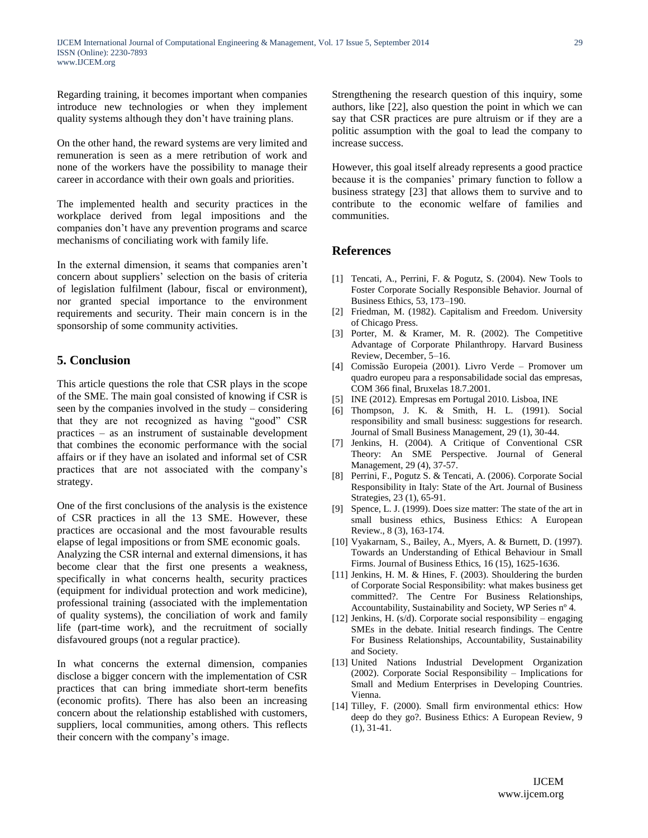Regarding training, it becomes important when companies introduce new technologies or when they implement quality systems although they don"t have training plans.

On the other hand, the reward systems are very limited and remuneration is seen as a mere retribution of work and none of the workers have the possibility to manage their career in accordance with their own goals and priorities.

The implemented health and security practices in the workplace derived from legal impositions and the companies don"t have any prevention programs and scarce mechanisms of conciliating work with family life.

In the external dimension, it seams that companies aren"t concern about suppliers" selection on the basis of criteria of legislation fulfilment (labour, fiscal or environment), nor granted special importance to the environment requirements and security. Their main concern is in the sponsorship of some community activities.

# **5. Conclusion**

This article questions the role that CSR plays in the scope of the SME. The main goal consisted of knowing if CSR is seen by the companies involved in the study – considering that they are not recognized as having "good" CSR practices – as an instrument of sustainable development that combines the economic performance with the social affairs or if they have an isolated and informal set of CSR practices that are not associated with the company"s strategy.

One of the first conclusions of the analysis is the existence of CSR practices in all the 13 SME. However, these practices are occasional and the most favourable results elapse of legal impositions or from SME economic goals.

Analyzing the CSR internal and external dimensions, it has become clear that the first one presents a weakness, specifically in what concerns health, security practices (equipment for individual protection and work medicine), professional training (associated with the implementation of quality systems), the conciliation of work and family life (part-time work), and the recruitment of socially disfavoured groups (not a regular practice).

In what concerns the external dimension, companies disclose a bigger concern with the implementation of CSR practices that can bring immediate short-term benefits (economic profits). There has also been an increasing concern about the relationship established with customers, suppliers, local communities, among others. This reflects their concern with the company"s image.

Strengthening the research question of this inquiry, some authors, like [22], also question the point in which we can say that CSR practices are pure altruism or if they are a politic assumption with the goal to lead the company to increase success.

However, this goal itself already represents a good practice because it is the companies' primary function to follow a business strategy [23] that allows them to survive and to contribute to the economic welfare of families and communities.

# **References**

- [1] Tencati, A., Perrini, F. & Pogutz, S. (2004). New Tools to Foster Corporate Socially Responsible Behavior. Journal of Business Ethics, 53, 173–190.
- [2] Friedman, M. (1982). Capitalism and Freedom. University of Chicago Press.
- [3] Porter, M. & Kramer, M. R. (2002). The Competitive Advantage of Corporate Philanthropy. Harvard Business Review, December, 5–16.
- [4] Comissão Europeia (2001). Livro Verde Promover um quadro europeu para a responsabilidade social das empresas, COM 366 final, Bruxelas 18.7.2001.
- [5] INE (2012). Empresas em Portugal 2010. Lisboa, INE
- [6] Thompson, J. K. & Smith, H. L. (1991). Social responsibility and small business: suggestions for research. Journal of Small Business Management, 29 (1), 30-44.
- [7] Jenkins, H. (2004). A Critique of Conventional CSR Theory: An SME Perspective. Journal of General Management, 29 (4), 37-57.
- [8] Perrini, F., Pogutz S. & Tencati, A. (2006). Corporate Social Responsibility in Italy: State of the Art. Journal of Business Strategies, 23 (1), 65-91.
- [9] Spence, L. J. (1999). Does size matter: The state of the art in small business ethics, Business Ethics: A European Review., 8 (3), 163-174.
- [10] Vyakarnam, S., Bailey, A., Myers, A. & Burnett, D. (1997). Towards an Understanding of Ethical Behaviour in Small Firms. Journal of Business Ethics, 16 (15), 1625-1636.
- [11] Jenkins, H. M. & Hines, F. (2003). Shouldering the burden of Corporate Social Responsibility: what makes business get committed?. The Centre For Business Relationships, Accountability, Sustainability and Society, WP Series nº 4.
- [12] Jenkins, H. (s/d). Corporate social responsibility engaging SMEs in the debate. Initial research findings. The Centre For Business Relationships, Accountability, Sustainability and Society.
- [13] United Nations Industrial Development Organization (2002). Corporate Social Responsibility – Implications for Small and Medium Enterprises in Developing Countries. Vienna.
- [14] Tilley, F. (2000). Small firm environmental ethics: How deep do they go?. Business Ethics: A European Review, 9 (1), 31-41.